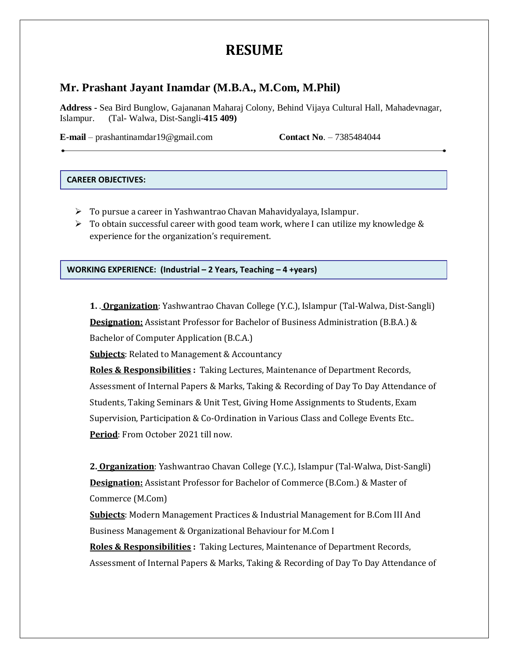# **RESUME**

# **Mr. Prashant Jayant Inamdar (M.B.A., M.Com, M.Phil)**

**Address -** Sea Bird Bunglow, Gajananan Maharaj Colony, Behind Vijaya Cultural Hall, Mahadevnagar, Islampur. (Tal- Walwa, Dist-Sangli-**415 409)**

**E-mail** – prashantinamdar19@gmail.com **Contact No**. – 7385484044

#### **CAREER OBJECTIVES:**

- To pursue a career in Yashwantrao Chavan Mahavidyalaya, Islampur.
- $\triangleright$  To obtain successful career with good team work, where I can utilize my knowledge & experience for the organization's requirement.

**WORKING EXPERIENCE: (Industrial – 2 Years, Teaching – 4 +years)**

**1.** . **Organization**: Yashwantrao Chavan College (Y.C.), Islampur (Tal-Walwa, Dist-Sangli) **Designation:** Assistant Professor for Bachelor of Business Administration (B.B.A.) & Bachelor of Computer Application (B.C.A.)

**Subjects**: Related to Management & Accountancy

**Roles & Responsibilities :** Taking Lectures, Maintenance of Department Records, Assessment of Internal Papers & Marks, Taking & Recording of Day To Day Attendance of Students, Taking Seminars & Unit Test, Giving Home Assignments to Students, Exam Supervision, Participation & Co-Ordination in Various Class and College Events Etc.. **Period**: From October 2021 till now.

**2. Organization**: Yashwantrao Chavan College (Y.C.), Islampur (Tal-Walwa, Dist-Sangli) **Designation:** Assistant Professor for Bachelor of Commerce (B.Com.) & Master of Commerce (M.Com)

**Subjects**: Modern Management Practices & Industrial Management for B.Com III And Business Management & Organizational Behaviour for M.Com I

**Roles & Responsibilities :** Taking Lectures, Maintenance of Department Records, Assessment of Internal Papers & Marks, Taking & Recording of Day To Day Attendance of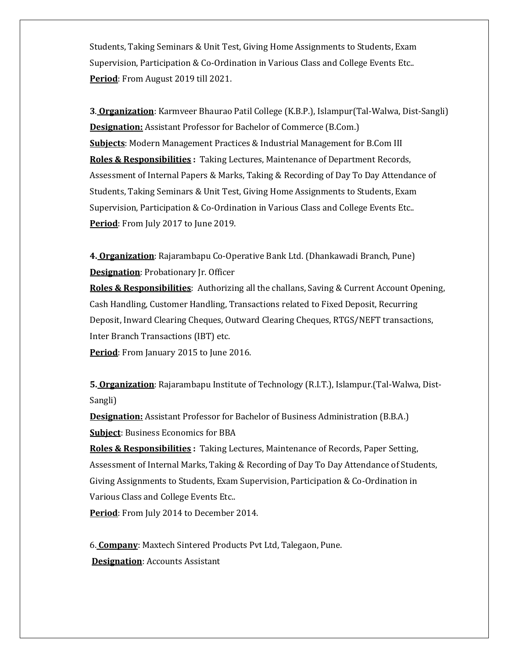Students, Taking Seminars & Unit Test, Giving Home Assignments to Students, Exam Supervision, Participation & Co-Ordination in Various Class and College Events Etc.. **Period**: From August 2019 till 2021.

**3**. **Organization**: Karmveer Bhaurao Patil College (K.B.P.), Islampur(Tal-Walwa, Dist-Sangli) **Designation:** Assistant Professor for Bachelor of Commerce (B.Com.) **Subjects**: Modern Management Practices & Industrial Management for B.Com III **Roles & Responsibilities :** Taking Lectures, Maintenance of Department Records, Assessment of Internal Papers & Marks, Taking & Recording of Day To Day Attendance of Students, Taking Seminars & Unit Test, Giving Home Assignments to Students, Exam Supervision, Participation & Co-Ordination in Various Class and College Events Etc.. **Period**: From July 2017 to June 2019.

**4. Organization**: Rajarambapu Co-Operative Bank Ltd. (Dhankawadi Branch, Pune) **Designation**: Probationary Jr. Officer

**Roles & Responsibilities**: Authorizing all the challans, Saving & Current Account Opening, Cash Handling, Customer Handling, Transactions related to Fixed Deposit, Recurring Deposit, Inward Clearing Cheques, Outward Clearing Cheques, RTGS/NEFT transactions, Inter Branch Transactions (IBT) etc.

Period: From January 2015 to June 2016.

**5. Organization**: Rajarambapu Institute of Technology (R.I.T.), Islampur.(Tal-Walwa, Dist-Sangli)

**Designation:** Assistant Professor for Bachelor of Business Administration (B.B.A.) **Subject**: Business Economics for BBA

**Roles & Responsibilities :** Taking Lectures, Maintenance of Records, Paper Setting, Assessment of Internal Marks, Taking & Recording of Day To Day Attendance of Students, Giving Assignments to Students, Exam Supervision, Participation & Co-Ordination in Various Class and College Events Etc..

**Period**: From July 2014 to December 2014.

6. **Company**: Maxtech Sintered Products Pvt Ltd, Talegaon, Pune. **Designation**: Accounts Assistant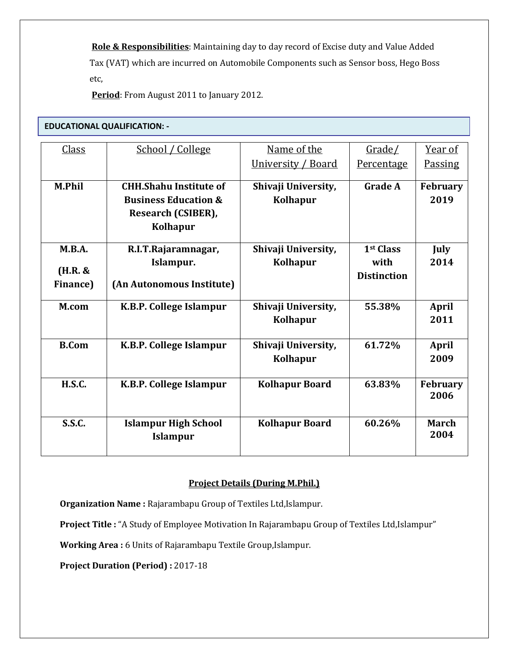**Role & Responsibilities**: Maintaining day to day record of Excise duty and Value Added Tax (VAT) which are incurred on Automobile Components such as Sensor boss, Hego Boss etc,

**Period**: From August 2011 to January 2012.

## **EDUCATIONAL QUALIFICATION: -**

| <b>Class</b>     | School / College                | Name of the           | Grade/                | Year of         |
|------------------|---------------------------------|-----------------------|-----------------------|-----------------|
|                  |                                 |                       |                       |                 |
|                  |                                 | University / Board    | Percentage            | <b>Passing</b>  |
| <b>M.Phil</b>    | <b>CHH.Shahu Institute of</b>   | Shivaji University,   | <b>Grade A</b>        | <b>February</b> |
|                  | <b>Business Education &amp;</b> | Kolhapur              |                       | 2019            |
|                  |                                 |                       |                       |                 |
|                  | Research (CSIBER),              |                       |                       |                 |
|                  | <b>Kolhapur</b>                 |                       |                       |                 |
| M.B.A.           | R.I.T.Rajaramnagar,             | Shivaji University,   | 1 <sup>st</sup> Class | July            |
|                  | Islampur.                       | <b>Kolhapur</b>       | with                  | 2014            |
| $(H.R. \&$       |                                 |                       | <b>Distinction</b>    |                 |
| <b>Finance</b> ) | (An Autonomous Institute)       |                       |                       |                 |
|                  |                                 |                       |                       |                 |
| M.com            | K.B.P. College Islampur         | Shivaji University,   | 55.38%                | <b>April</b>    |
|                  |                                 | <b>Kolhapur</b>       |                       | 2011            |
|                  |                                 |                       |                       |                 |
| <b>B.Com</b>     | K.B.P. College Islampur         | Shivaji University,   | 61.72%                | <b>April</b>    |
|                  |                                 | <b>Kolhapur</b>       |                       | 2009            |
|                  |                                 |                       |                       |                 |
| <b>H.S.C.</b>    | K.B.P. College Islampur         | <b>Kolhapur Board</b> | 63.83%                | <b>February</b> |
|                  |                                 |                       |                       | 2006            |
|                  |                                 |                       |                       |                 |
| <b>S.S.C.</b>    | <b>Islampur High School</b>     | <b>Kolhapur Board</b> | 60.26%                | <b>March</b>    |
|                  | <b>Islampur</b>                 |                       |                       | 2004            |
|                  |                                 |                       |                       |                 |

#### **Project Details (During M.Phil.)**

**Organization Name :** Rajarambapu Group of Textiles Ltd,Islampur.

**Project Title :** "A Study of Employee Motivation In Rajarambapu Group of Textiles Ltd,Islampur"

**Working Area :** 6 Units of Rajarambapu Textile Group,Islampur.

**Project Duration (Period) :** 2017-18